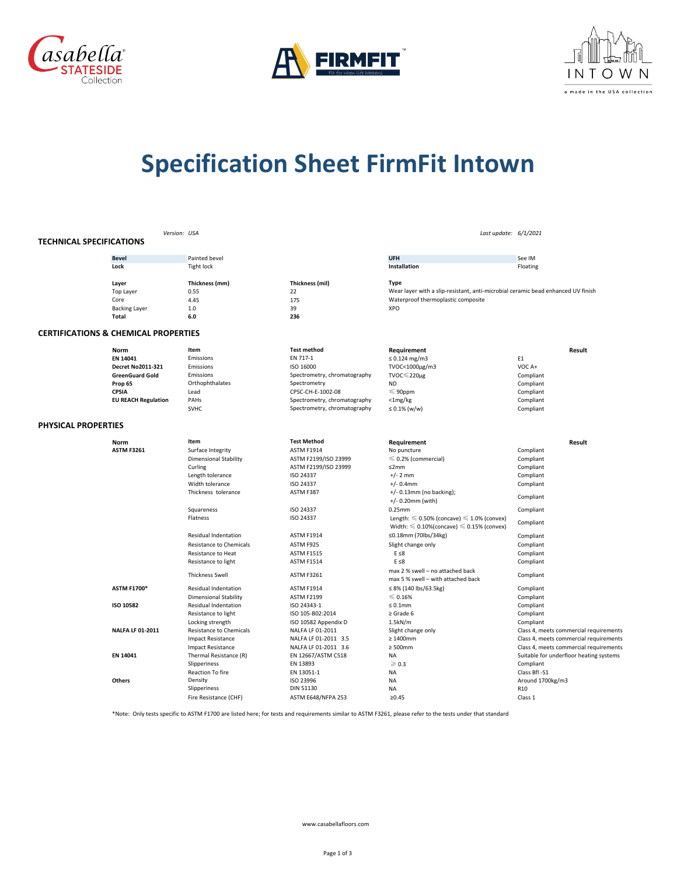





## **Specification Sheet FirmFit Intown**

|                                 |                                                 | Version: USA                   |                              |                                                                                                                | Last update: 6/1/2021                   |
|---------------------------------|-------------------------------------------------|--------------------------------|------------------------------|----------------------------------------------------------------------------------------------------------------|-----------------------------------------|
| <b>TECHNICAL SPECIFICATIONS</b> |                                                 |                                |                              |                                                                                                                |                                         |
|                                 | <b>Bevel</b>                                    | Painted bevel                  |                              | <b>UFH</b>                                                                                                     | See IM                                  |
|                                 | Lock                                            | <b>Tight lock</b>              |                              | Installation                                                                                                   | Floating                                |
|                                 |                                                 |                                |                              |                                                                                                                |                                         |
|                                 | Layer                                           | Thickness (mm)                 | Thickness (mil)              | <b>Type</b><br>Wear layer with a slip-resistant, anti-microbial ceramic bead enhanced UV finish                |                                         |
|                                 | <b>Top Layer</b><br>Core                        | 0.55<br>4.45                   | 22<br>175                    | Waterproof thermoplastic composite                                                                             |                                         |
|                                 | <b>Backing Layer</b>                            | 1.0                            | 39                           | <b>XPO</b>                                                                                                     |                                         |
|                                 | Total                                           | 6.0                            | 236                          |                                                                                                                |                                         |
|                                 | <b>CERTIFICATIONS &amp; CHEMICAL PROPERTIES</b> |                                |                              |                                                                                                                |                                         |
|                                 |                                                 |                                |                              |                                                                                                                |                                         |
|                                 | Norm                                            | Item                           | <b>Test method</b>           | Requirement                                                                                                    | Result                                  |
|                                 | EN 14041                                        | Emissions                      | EN 717-1                     | $\leq 0.124$ mg/m3                                                                                             | E1                                      |
|                                 | <b>Decret No2011-321</b>                        | Emissions                      | ISO 16000                    | TVOC<1000µg/m3                                                                                                 | VOC A+                                  |
|                                 | <b>GreenGuard Gold</b>                          | Emissions                      | Spectrometry, chromatography | TVOC≤220µg                                                                                                     | Compliant                               |
|                                 | Prop 65                                         | Orthophthalates                | Spectrometry                 | <b>ND</b>                                                                                                      | Compliant                               |
|                                 | CPSIA                                           | Lead                           | CPSC-CH-E-1002-08            | $\leqslant$ 90ppm                                                                                              | Compliant                               |
|                                 | <b>EU REACH Regulation</b>                      | PAHs                           | Spectrometry, chromatography | $<$ 1mg/kg                                                                                                     | Compliant                               |
|                                 |                                                 | <b>SVHC</b>                    | Spectrometry, chromatography | $\leq 0.1\%$ (w/w)                                                                                             | Compliant                               |
| PHYSICAL PROPERTIES             |                                                 |                                |                              |                                                                                                                |                                         |
|                                 | <b>Norm</b>                                     | Item                           | <b>Test Method</b>           | Requirement                                                                                                    | Result                                  |
|                                 | <b>ASTM F3261</b>                               | Surface Integrity              | <b>ASTM F1914</b>            | No puncture                                                                                                    | Compliant                               |
|                                 |                                                 | <b>Dimensional Stability</b>   | ASTM F2199/ISO 23999         | $\leq 0.2\%$ (commercial)                                                                                      | Compliant                               |
|                                 |                                                 | Curling                        | ASTM F2199/ISO 23999         | ≤2mm                                                                                                           | Compliant                               |
|                                 |                                                 | Length tolerance               | ISO 24337                    | $+/- 2$ mm                                                                                                     | Compliant                               |
|                                 |                                                 | Width tolerance                | ISO 24337                    | $+/- 0.4$ mm                                                                                                   | Compliant                               |
|                                 |                                                 | Thickness tolerance            |                              |                                                                                                                |                                         |
|                                 |                                                 |                                | ASTM F387                    | $+/- 0.13$ mm (no backing);<br>$+/- 0.20$ mm (with)                                                            | Compliant                               |
|                                 |                                                 | Squareness                     | ISO 24337                    | 0.25mm                                                                                                         | Compliant                               |
|                                 |                                                 | Flatness                       | ISO 24337                    | Length: $\leq 0.50\%$ (concave) $\leq 1.0\%$ (convex)<br>Width: $\leq 0.10\%$ (concave) $\leq 0.15\%$ (convex) | Compliant                               |
|                                 |                                                 | <b>Residual Indentation</b>    | <b>ASTM F1914</b>            | ≤0.18mm (70lbs/34kg)                                                                                           | Compliant                               |
|                                 |                                                 | <b>Resistance to Chemicals</b> | ASTM F925                    | Slight change only                                                                                             | Compliant                               |
|                                 |                                                 | Resistance to Heat             | <b>ASTM F1515</b>            | $E \leq 8$                                                                                                     | Compliant                               |
|                                 |                                                 | Resistance to light            | <b>ASTM F1514</b>            | $E \leq 8$                                                                                                     | Compliant                               |
|                                 |                                                 | <b>Thickness Swell</b>         | <b>ASTM F3261</b>            | max 2 % swell - no attached back<br>max 5 % swell - with attached back                                         | Compliant                               |
|                                 | <b>ASTM F1700*</b>                              | <b>Residual Indentation</b>    | <b>ASTM F1914</b>            | $\leq$ 8% (140 lbs/63.5kg)                                                                                     | Compliant                               |
|                                 |                                                 | <b>Dimensional Stability</b>   | <b>ASTM F2199</b>            | $\leqslant$ 0.16%                                                                                              | Compliant                               |
|                                 | ISO 10582                                       | Residual Indentation           | ISO 24343-1                  | $\leq 0.1$ mm                                                                                                  | Compliant                               |
|                                 |                                                 | Resistance to light            | ISO 105-B02:2014             | $\ge$ Grade 6                                                                                                  | Compliant                               |
|                                 |                                                 | Locking strength               | ISO 10582 Appendix D         | 1.5kN/m                                                                                                        | Compliant                               |
|                                 | <b>NALFA LF 01-2011</b>                         | <b>Resistance to Chemicals</b> | NALFA LF 01-2011             | Slight change only                                                                                             | Class 4, meets commercial requirements  |
|                                 |                                                 | <b>Impact Resistance</b>       | NALFA LF 01-2011 3.5         | $\geq 1400$ mm                                                                                                 | Class 4, meets commercial requirements  |
|                                 |                                                 | <b>Impact Resistance</b>       | NALFA LF 01-2011 3.6         | $\geq 500$ mm                                                                                                  | Class 4, meets commercial requirements  |
|                                 | EN 14041                                        | Thermal Resistance (R)         | EN 12667/ASTM C518           | <b>NA</b>                                                                                                      | Suitable for underfloor heating systems |
|                                 |                                                 | Slipperiness                   | EN 13893                     | $\geqslant$ 0.3                                                                                                | Compliant                               |
|                                 |                                                 | <b>Reaction To fire</b>        | EN 13051-1                   | <b>NA</b>                                                                                                      | Class BfI-S1                            |
|                                 | <b>Others</b>                                   | Density                        | ISO 23996                    | <b>NA</b>                                                                                                      | Around 1700kg/m3                        |
|                                 |                                                 | Slipperiness                   | DIN 51130                    | <b>NA</b>                                                                                                      | R <sub>10</sub>                         |
|                                 |                                                 | Fire Resistance (CHF)          | ASTM E648/NFPA 253           | ≥0.45                                                                                                          | Class 1                                 |
|                                 |                                                 |                                |                              |                                                                                                                |                                         |

\*Note: Only tests specific to ASTM F1700 are listed here; for tests and requirements similar to ASTM F3261, please refer to the tests under that standard

www.casabellafloors.com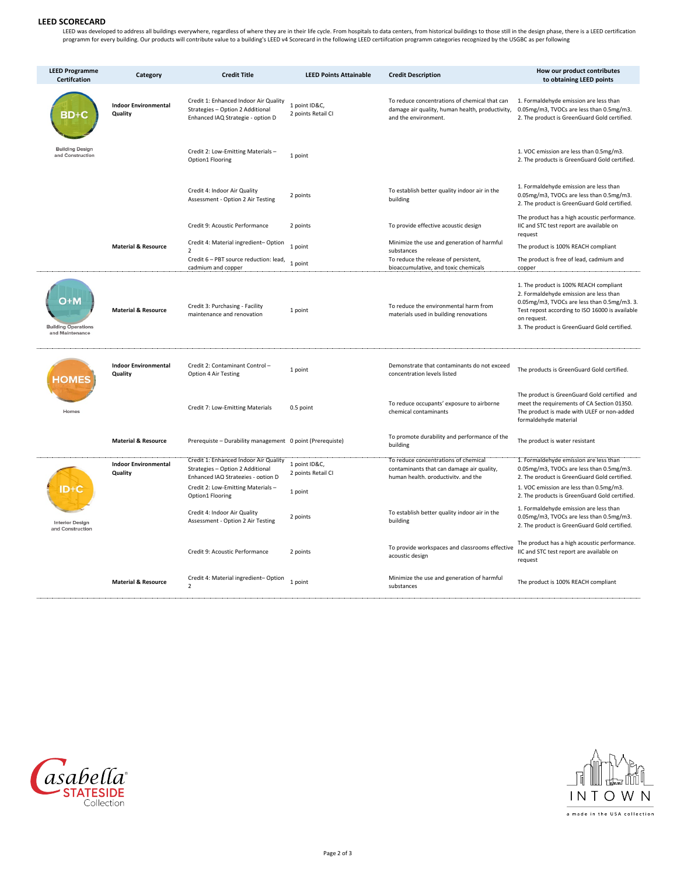## **LEED SCORECARD**

LEED was developed to address all buildings everywhere, regardless of where they are in their life cycle. From hospitals to data centers, from historical buildings to those still in the design phase, there is a LEED certif

| <b>LEED Programme</b><br><b>Certifcation</b>         | Category                               | <b>Credit Title</b>                                                                                            | <b>LEED Points Attainable</b>       | <b>Credit Description</b>                                                                                                | How our product contributes<br>to obtaining LEED points                                                                                                                                                                                           |
|------------------------------------------------------|----------------------------------------|----------------------------------------------------------------------------------------------------------------|-------------------------------------|--------------------------------------------------------------------------------------------------------------------------|---------------------------------------------------------------------------------------------------------------------------------------------------------------------------------------------------------------------------------------------------|
| BD+C                                                 | <b>Indoor Environmental</b><br>Quality | Credit 1: Enhanced Indoor Air Quality<br>Strategies - Option 2 Additional<br>Enhanced IAQ Strategie - option D | 1 point ID&C,<br>2 points Retail CI | To reduce concentrations of chemical that can<br>damage air quality, human health, productivity,<br>and the environment. | 1. Formaldehyde emission are less than<br>0.05mg/m3, TVOCs are less than 0.5mg/m3.<br>2. The product is GreenGuard Gold certified.                                                                                                                |
| <b>Building Design</b><br>and Construction           |                                        | Credit 2: Low-Emitting Materials-<br>Option1 Flooring                                                          | 1 point                             |                                                                                                                          | 1. VOC emission are less than 0.5mg/m3.<br>2. The products is GreenGuard Gold certified.                                                                                                                                                          |
|                                                      |                                        | Credit 4: Indoor Air Quality<br>Assessment - Option 2 Air Testing                                              | 2 points                            | To establish better quality indoor air in the<br>building                                                                | 1. Formaldehyde emission are less than<br>0.05mg/m3, TVOCs are less than 0.5mg/m3.<br>2. The product is GreenGuard Gold certified.                                                                                                                |
|                                                      |                                        | Credit 9: Acoustic Performance                                                                                 | 2 points                            | To provide effective acoustic design                                                                                     | The product has a high acoustic performance.<br>IIC and STC test report are available on<br>request                                                                                                                                               |
|                                                      | <b>Material &amp; Resource</b>         | Credit 4: Material ingredient-Option<br>$\mathfrak{p}$                                                         | 1 point                             | Minimize the use and generation of harmful<br>substances                                                                 | The product is 100% REACH compliant                                                                                                                                                                                                               |
|                                                      |                                        | Credit 6 - PBT source reduction: lead,<br>cadmium and copper                                                   | 1 point                             | To reduce the release of persistent,<br>bioaccumulative, and toxic chemicals                                             | The product is free of lead, cadmium and<br>copper                                                                                                                                                                                                |
| D+M<br><b>Building Operations</b><br>and Maintenance | <b>Material &amp; Resource</b>         | Credit 3: Purchasing - Facility<br>maintenance and renovation                                                  | 1 point                             | To reduce the environmental harm from<br>materials used in building renovations                                          | 1. The product is 100% REACH compliant<br>2. Formaldehyde emission are less than<br>0.05mg/m3, TVOCs are less than 0.5mg/m3. 3.<br>Test repost according to ISO 16000 is available<br>on request.<br>3. The product is GreenGuard Gold certified. |
| <b>HOMES</b>                                         | <b>Indoor Environmental</b><br>Quality | Credit 2: Contaminant Control-<br>Option 4 Air Testing                                                         | 1 point                             | Demonstrate that contaminants do not exceed<br>concentration levels listed                                               | The products is GreenGuard Gold certified.                                                                                                                                                                                                        |
| Homes                                                |                                        | Credit 7: Low-Emitting Materials                                                                               | 0.5 point                           | To reduce occupants' exposure to airborne<br>chemical contaminants                                                       | The product is GreenGuard Gold certified and<br>meet the requirements of CA Section 01350.<br>The product is made with ULEF or non-added<br>formaldehyde material                                                                                 |
|                                                      | <b>Material &amp; Resource</b>         | Prerequiste - Durability management 0 point (Prerequiste)                                                      |                                     | To promote durability and performance of the<br>building                                                                 | The product is water resistant                                                                                                                                                                                                                    |
|                                                      | <b>Indoor Environmental</b>            | Credit 1: Enhanced Indoor Air Quality<br>Strategies - Option 2 Additional                                      | 1 point ID&C,                       | To reduce concentrations of chemical<br>contaminants that can damage air quality,                                        | 1. Formaldehyde emission are less than<br>0.05mg/m3, TVOCs are less than 0.5mg/m3.                                                                                                                                                                |
|                                                      | Quality                                | Enhanced IAO Strategies - option D                                                                             | 2 points Retail CI                  | human health, productivity, and the                                                                                      | 2. The product is GreenGuard Gold certified.                                                                                                                                                                                                      |
| ID+C                                                 |                                        | Credit 2: Low-Emitting Materials-<br>Option1 Flooring                                                          | 1 point                             |                                                                                                                          | 1. VOC emission are less than 0.5mg/m3.<br>2. The products is GreenGuard Gold certified.                                                                                                                                                          |
| <b>Interior Design</b><br>and Construction           |                                        | Credit 4: Indoor Air Quality<br>Assessment - Option 2 Air Testing                                              | 2 points                            | To establish better quality indoor air in the<br>building                                                                | 1. Formaldehyde emission are less than<br>0.05mg/m3, TVOCs are less than 0.5mg/m3.<br>2. The product is GreenGuard Gold certified.                                                                                                                |
|                                                      |                                        | Credit 9: Acoustic Performance                                                                                 | 2 points                            | To provide workspaces and classrooms effective<br>acoustic design                                                        | The product has a high acoustic performance.<br>IIC and STC test report are available on<br>request                                                                                                                                               |
|                                                      | <b>Material &amp; Resource</b>         | Credit 4: Material ingredient-Option<br>$\overline{2}$                                                         | 1 point                             | Minimize the use and generation of harmful<br>substances                                                                 | The product is 100% REACH compliant                                                                                                                                                                                                               |